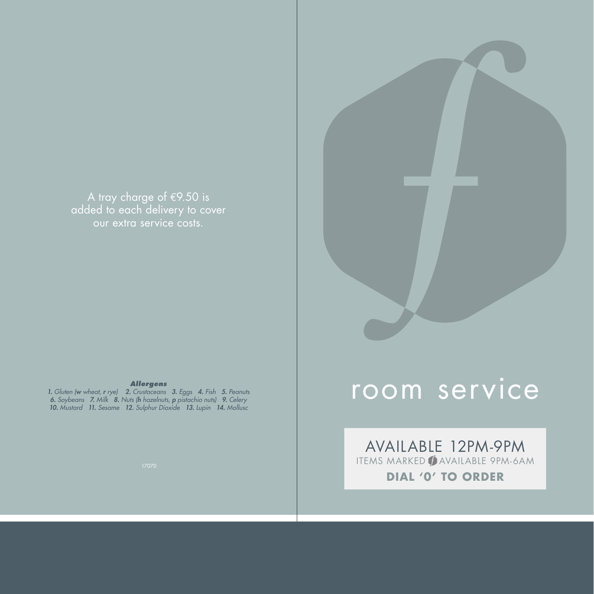A tray charge of  $E$ 9.50 is added to each delivery to cover our extra service costs.

#### *Allergens*

*1. Gluten (w wheat, r rye) 2. Crustaceans 3. Eggs 4. Fish 5. Peanuts 6. Soybeans 7. Milk 8. Nuts (h hazelnuts, p pistachio nuts) 9. Celery 10. Mustard 11. Sesame 12. Sulphur Dioxide 13. Lupin 14. Mollusc*



AVAILABLE 12PM-9PM ITEMS MARKED **( AVAILABLE 9PM-6AM DIAL '0' TO ORDER**